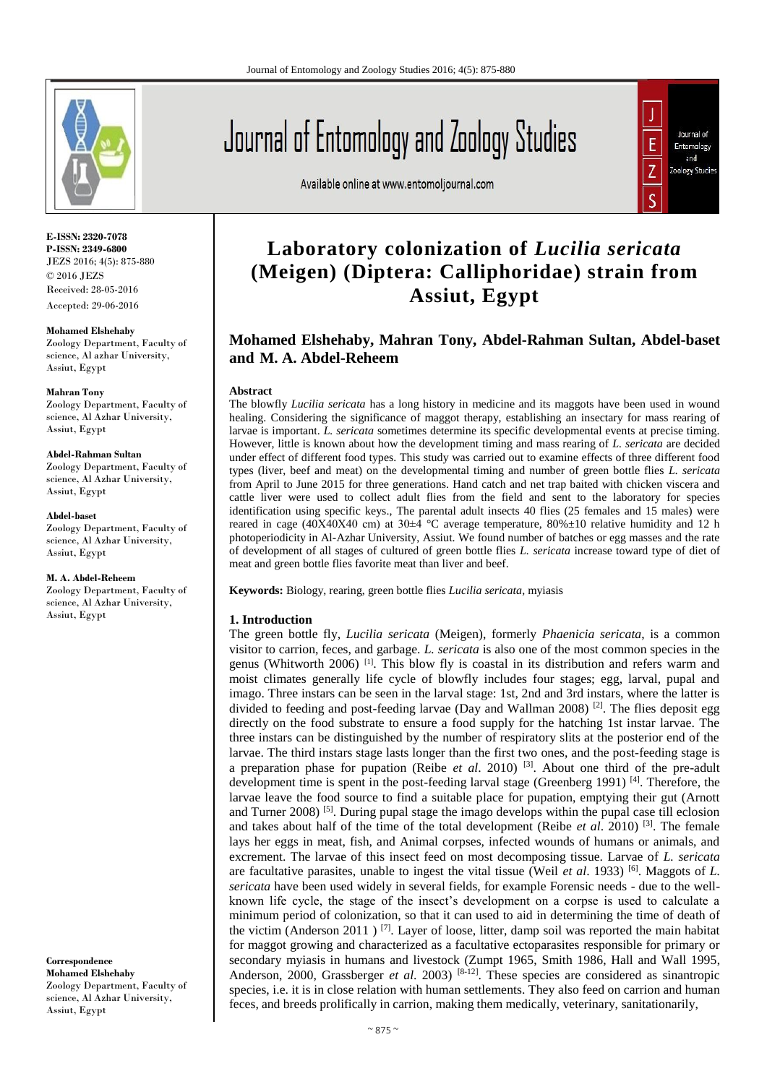

**E-ISSN: 2320-7078 P-ISSN: 2349-6800** JEZS 2016; 4(5): 875-880 © 2016 JEZS Received: 28-05-2016 Accepted: 29-06-2016

**Mohamed Elshehaby** Zoology Department, Faculty of science, Al azhar University, Assiut, Egypt

#### **Mahran Tony**

Zoology Department, Faculty of science, Al Azhar University, Assiut, Egypt

#### **Abdel-Rahman Sultan**

Zoology Department, Faculty of science, Al Azhar University, Assiut, Egypt

#### **Abdel-baset**

Zoology Department, Faculty of science, Al Azhar University, Assiut, Egypt

#### **M. A. Abdel-Reheem**

Zoology Department, Faculty of science, Al Azhar University, Assiut, Egypt

**Correspondence Mohamed Elshehaby** Zoology Department, Faculty of science, Al Azhar University, Assiut, Egypt

# Journal of Entomology and Zoology Studies

Available online at www.entomoljournal.com



# **Laboratory colonization of** *Lucilia sericata* **(Meigen) (Diptera: Calliphoridae) strain from Assiut, Egypt**

# **Mohamed Elshehaby, Mahran Tony, Abdel-Rahman Sultan, Abdel-baset and M. A. Abdel-Reheem**

#### **Abstract**

The blowfly *Lucilia sericata* has a long history in medicine and its maggots have been used in wound healing. Considering the significance of maggot therapy, establishing an insectary for mass rearing of larvae is important. *L. sericata* sometimes determine its specific developmental events at precise timing. However, little is known about how the development timing and mass rearing of *L. sericata* are decided under effect of different food types. This study was carried out to examine effects of three different food types (liver, beef and meat) on the developmental timing and number of green bottle flies *L. sericata* from April to June 2015 for three generations. Hand catch and net trap baited with chicken viscera and cattle liver were used to collect adult flies from the field and sent to the laboratory for species identification using specific keys., The parental adult insects 40 flies (25 females and 15 males) were reared in cage (40Χ40Χ40 cm) at 30±4 °C average temperature, 80%±10 relative humidity and 12 h photoperiodicity in Al-Azhar University, Assiut. We found number of batches or egg masses and the rate of development of all stages of cultured of green bottle flies *L. sericata* increase toward type of diet of meat and green bottle flies favorite meat than liver and beef.

**Keywords:** Biology, rearing, green bottle flies *Lucilia sericata,* myiasis

#### **1. Introduction**

The green bottle fly, *Lucilia sericata* (Meigen), formerly *Phaenicia sericata*, is a common visitor to carrion, feces, and garbage. *L. sericata* is also one of the most common species in the genus (Whitworth 2006) [1]. This blow fly is coastal in its distribution and refers warm and moist climates generally life cycle of blowfly includes four stages; egg, larval, pupal and imago. Three instars can be seen in the larval stage: 1st, 2nd and 3rd instars, where the latter is divided to feeding and post-feeding larvae (Day and Wallman 2008)  $^{[2]}$ . The flies deposit egg directly on the food substrate to ensure a food supply for the hatching 1st instar larvae. The three instars can be distinguished by the number of respiratory slits at the posterior end of the larvae. The third instars stage lasts longer than the first two ones, and the post-feeding stage is a preparation phase for pupation (Reibe *et al*. 2010) [3]. About one third of the pre-adult development time is spent in the post-feeding larval stage (Greenberg 1991)<sup>[4]</sup>. Therefore, the larvae leave the food source to find a suitable place for pupation, emptying their gut (Arnott and Turner 2008)<sup>[5]</sup>. During pupal stage the imago develops within the pupal case till eclosion and takes about half of the time of the total development (Reibe *et al*. 2010) [3] . The female lays her eggs in meat, fish, and Animal corpses, infected wounds of humans or animals, and excrement. The larvae of this insect feed on most decomposing tissue. Larvae of *L. sericata*  are facultative parasites, unable to ingest the vital tissue (Weil *et al.* 1933)<sup>[6]</sup>. Maggots of *L*. *sericata* have been used widely in several fields, for example Forensic needs - due to the wellknown life cycle, the stage of the insect's development on a corpse is used to calculate a minimum period of colonization, so that it can used to aid in determining the time of death of the victim (Anderson 2011)<sup>[7]</sup>. Layer of loose, litter, damp soil was reported the main habitat for maggot growing and characterized as a facultative ectoparasites responsible for primary or secondary myiasis in humans and livestock (Zumpt 1965, Smith 1986, Hall and Wall 1995, Anderson, 2000, Grassberger *et al.* 2003)<sup>[8-12]</sup>. These species are considered as sinantropic species, i.e. it is in close relation with human settlements. They also feed on carrion and human feces, and breeds prolifically in carrion, making them medically, veterinary, sanitationarily,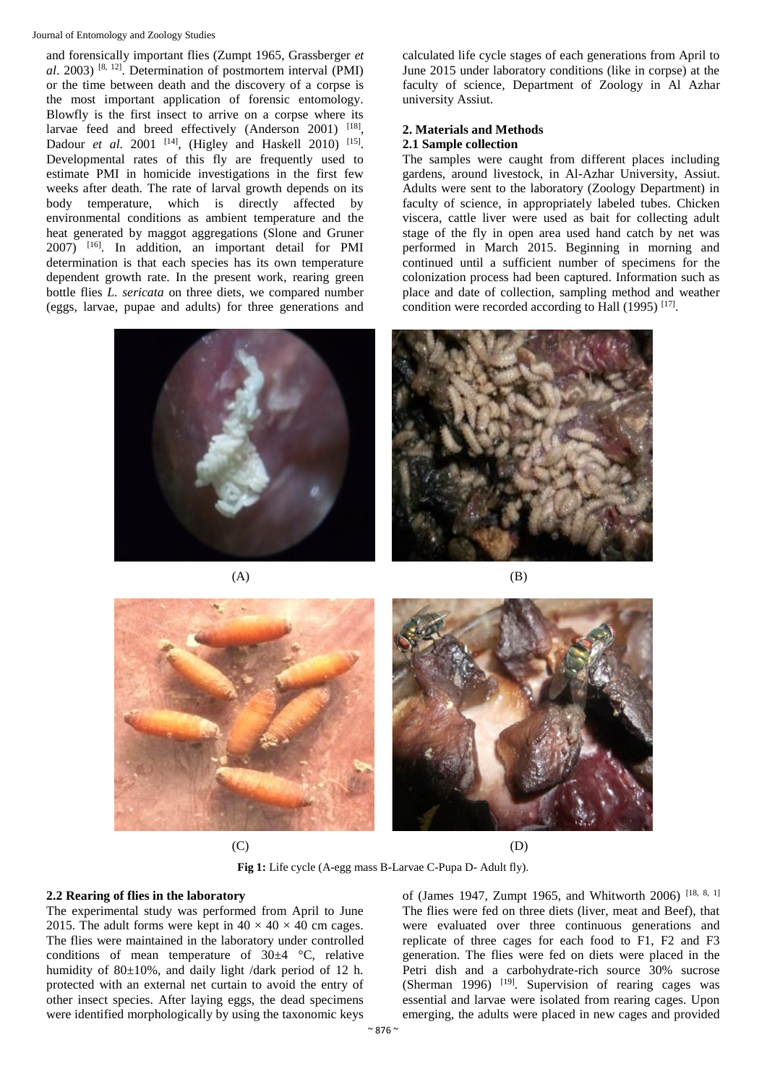#### Journal of Entomology and Zoology Studies

and forensically important flies (Zumpt 1965, Grassberger *et al*. 2003) [8, 12] . Determination of postmortem interval (PMI) or the time between death and the discovery of a corpse is the most important application of forensic entomology. Blowfly is the first insect to arrive on a corpse where its larvae feed and breed effectively (Anderson 2001) [18], Dadour *et al.* 2001 <sup>[14]</sup>, (Higley and Haskell 2010) <sup>[15]</sup>. Developmental rates of this fly are frequently used to estimate PMI in homicide investigations in the first few weeks after death. The rate of larval growth depends on its body temperature, which is directly affected by environmental conditions as ambient temperature and the heat generated by maggot aggregations (Slone and Gruner 2007) [16]. In addition, an important detail for PMI determination is that each species has its own temperature dependent growth rate. In the present work, rearing green bottle flies *L. sericata* on three diets, we compared number (eggs, larvae, pupae and adults) for three generations and



calculated life cycle stages of each generations from April to June 2015 under laboratory conditions (like in corpse) at the faculty of science, Department of Zoology in Al Azhar university Assiut.

#### **2. Materials and Methods 2.1 Sample collection**

The samples were caught from different places including gardens, around livestock, in Al-Azhar University, Assiut. Adults were sent to the laboratory (Zoology Department) in faculty of science, in appropriately labeled tubes. Chicken viscera, cattle liver were used as bait for collecting adult stage of the fly in open area used hand catch by net was performed in March 2015. Beginning in morning and continued until a sufficient number of specimens for the colonization process had been captured. Information such as place and date of collection, sampling method and weather condition were recorded according to Hall (1995)<sup>[17]</sup>.









 $(C)$  (D)

**Fig 1:** Life cycle (A-egg mass B-Larvae C-Pupa D- Adult fly).

# **2.2 Rearing of flies in the laboratory**

The experimental study was performed from April to June 2015. The adult forms were kept in  $40 \times 40 \times 40$  cm cages. The flies were maintained in the laboratory under controlled conditions of mean temperature of  $30\pm4$  °C, relative humidity of 80±10%, and daily light /dark period of 12 h. protected with an external net curtain to avoid the entry of other insect species. After laying eggs, the dead specimens were identified morphologically by using the taxonomic keys

of (James 1947, Zumpt 1965, and Whitworth 2006) [18, 8, 1] The flies were fed on three diets (liver, meat and Beef), that were evaluated over three continuous generations and replicate of three cages for each food to F1, F2 and F3 generation. The flies were fed on diets were placed in the Petri dish and a carbohydrate-rich source 30% sucrose (Sherman 1996) <sup>[19]</sup>. Supervision of rearing cages was essential and larvae were isolated from rearing cages. Upon emerging, the adults were placed in new cages and provided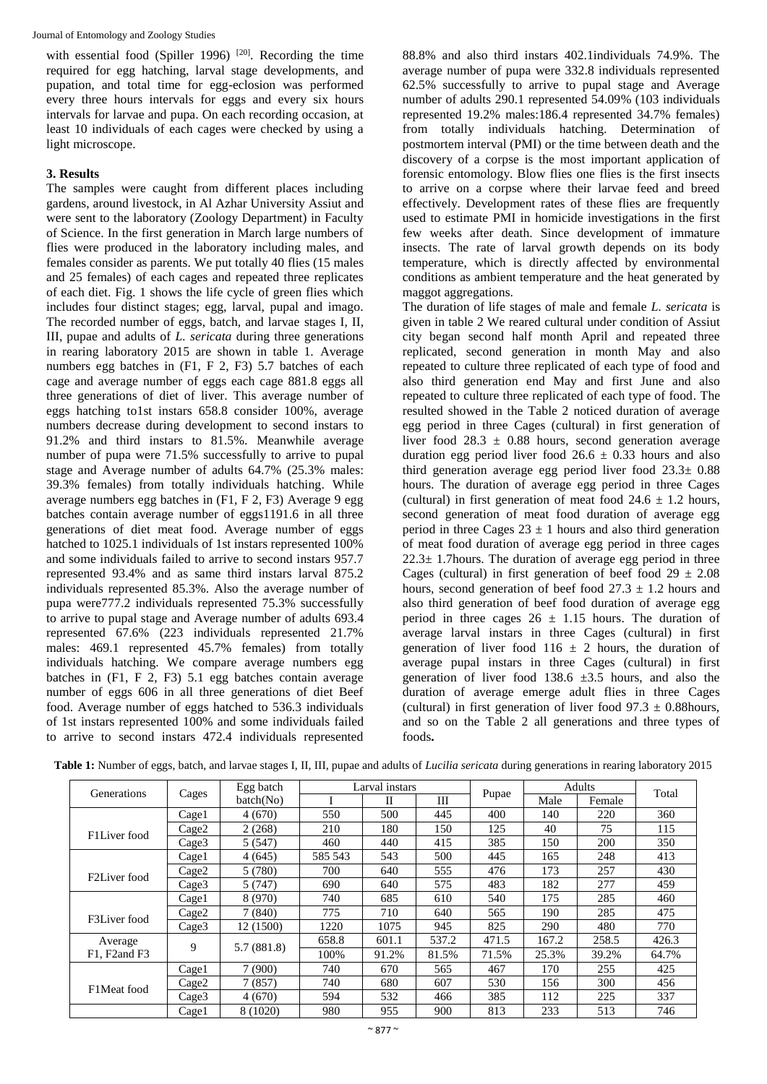with essential food (Spiller 1996)  $[20]$ . Recording the time required for egg hatching, larval stage developments, and pupation, and total time for egg-eclosion was performed every three hours intervals for eggs and every six hours intervals for larvae and pupa. On each recording occasion, at least 10 individuals of each cages were checked by using a light microscope.

# **3. Results**

The samples were caught from different places including gardens, around livestock, in Al Azhar University Assiut and were sent to the laboratory (Zoology Department) in Faculty of Science. In the first generation in March large numbers of flies were produced in the laboratory including males, and females consider as parents. We put totally 40 flies (15 males and 25 females) of each cages and repeated three replicates of each diet. Fig. 1 shows the life cycle of green flies which includes four distinct stages; egg, larval, pupal and imago. The recorded number of eggs, batch, and larvae stages I, II, III, pupae and adults of *L. sericata* during three generations in rearing laboratory 2015 are shown in table 1. Average numbers egg batches in (F1, F 2, F3) 5.7 batches of each cage and average number of eggs each cage 881.8 eggs all three generations of diet of liver. This average number of eggs hatching to1st instars 658.8 consider 100%, average numbers decrease during development to second instars to 91.2% and third instars to 81.5%. Meanwhile average number of pupa were 71.5% successfully to arrive to pupal stage and Average number of adults 64.7% (25.3% males: 39.3% females) from totally individuals hatching. While average numbers egg batches in (F1, F 2, F3) Average 9 egg batches contain average number of eggs1191.6 in all three generations of diet meat food. Average number of eggs hatched to 1025.1 individuals of 1st instars represented 100% and some individuals failed to arrive to second instars 957.7 represented 93.4% and as same third instars larval 875.2 individuals represented 85.3%. Also the average number of pupa were777.2 individuals represented 75.3% successfully to arrive to pupal stage and Average number of adults 693.4 represented 67.6% (223 individuals represented 21.7% males: 469.1 represented 45.7% females) from totally individuals hatching. We compare average numbers egg batches in (F1, F 2, F3) 5.1 egg batches contain average number of eggs 606 in all three generations of diet Beef food. Average number of eggs hatched to 536.3 individuals of 1st instars represented 100% and some individuals failed to arrive to second instars 472.4 individuals represented

88.8% and also third instars 402.1individuals 74.9%. The average number of pupa were 332.8 individuals represented 62.5% successfully to arrive to pupal stage and Average number of adults 290.1 represented 54.09% (103 individuals represented 19.2% males:186.4 represented 34.7% females) from totally individuals hatching. Determination of postmortem interval (PMI) or the time between death and the discovery of a corpse is the most important application of forensic entomology. Blow flies one flies is the first insects to arrive on a corpse where their larvae feed and breed effectively. Development rates of these flies are frequently used to estimate PMI in homicide investigations in the first few weeks after death. Since development of immature insects. The rate of larval growth depends on its body temperature, which is directly affected by environmental conditions as ambient temperature and the heat generated by maggot aggregations.

The duration of life stages of male and female *L. sericata* is given in table 2 We reared cultural under condition of Assiut city began second half month April and repeated three replicated, second generation in month May and also repeated to culture three replicated of each type of food and also third generation end May and first June and also repeated to culture three replicated of each type of food. The resulted showed in the Table 2 noticed duration of average egg period in three Cages (cultural) in first generation of liver food  $28.3 \pm 0.88$  hours, second generation average duration egg period liver food  $26.6 \pm 0.33$  hours and also third generation average egg period liver food 23.3± 0.88 hours. The duration of average egg period in three Cages (cultural) in first generation of meat food  $24.6 \pm 1.2$  hours, second generation of meat food duration of average egg period in three Cages  $23 \pm 1$  hours and also third generation of meat food duration of average egg period in three cages  $22.3 \pm 1.7$  hours. The duration of average egg period in three Cages (cultural) in first generation of beef food  $29 \pm 2.08$ hours, second generation of beef food  $27.3 \pm 1.2$  hours and also third generation of beef food duration of average egg period in three cages  $26 \pm 1.15$  hours. The duration of average larval instars in three Cages (cultural) in first generation of liver food 116  $\pm$  2 hours, the duration of average pupal instars in three Cages (cultural) in first generation of liver food  $138.6 \pm 3.5$  hours, and also the duration of average emerge adult flies in three Cages (cultural) in first generation of liver food  $97.3 \pm 0.88$ hours, and so on the Table 2 all generations and three types of foods**.**

| Generations              | Cages | Egg batch  | Larval instars |       |       |       | Adults |        | Total |
|--------------------------|-------|------------|----------------|-------|-------|-------|--------|--------|-------|
|                          |       | batch(No)  |                | H     | Ш     | Pupae | Male   | Female |       |
|                          | Cage1 | 4(670)     | 550            | 500   | 445   | 400   | 140    | 220    | 360   |
| F1Liver food             | Cage2 | 2(268)     | 210            | 180   | 150   | 125   | 40     | 75     | 115   |
|                          | Cage3 | 5 (547)    | 460            | 440   | 415   | 385   | 150    | 200    | 350   |
|                          | Cage1 | 4(645)     | 585 543        | 543   | 500   | 445   | 165    | 248    | 413   |
| F2Liver food             | Cage2 | 5 (780)    | 700            | 640   | 555   | 476   | 173    | 257    | 430   |
|                          | Cage3 | 5(747)     | 690            | 640   | 575   | 483   | 182    | 277    | 459   |
|                          | Cage1 | 8 (970)    | 740            | 685   | 610   | 540   | 175    | 285    | 460   |
| F3Liver food             | Cage2 | 7(840)     | 775            | 710   | 640   | 565   | 190    | 285    | 475   |
|                          | Cage3 | 12 (1500)  | 1220           | 1075  | 945   | 825   | 290    | 480    | 770   |
| Average<br>F1, F2 and F3 | 9     | 5.7(881.8) | 658.8          | 601.1 | 537.2 | 471.5 | 167.2  | 258.5  | 426.3 |
|                          |       |            | 100%           | 91.2% | 81.5% | 71.5% | 25.3%  | 39.2%  | 64.7% |
| F1Meat food              | Cage1 | 7(900)     | 740            | 670   | 565   | 467   | 170    | 255    | 425   |
|                          | Cage2 | 7(857)     | 740            | 680   | 607   | 530   | 156    | 300    | 456   |
|                          | Cage3 | 4(670)     | 594            | 532   | 466   | 385   | 112    | 225    | 337   |
|                          | Cage1 | 8 (1020)   | 980            | 955   | 900   | 813   | 233    | 513    | 746   |

**Table 1:** Number of eggs, batch, and larvae stages I, II, III, pupae and adults of *Lucilia sericata* during generations in rearing laboratory 2015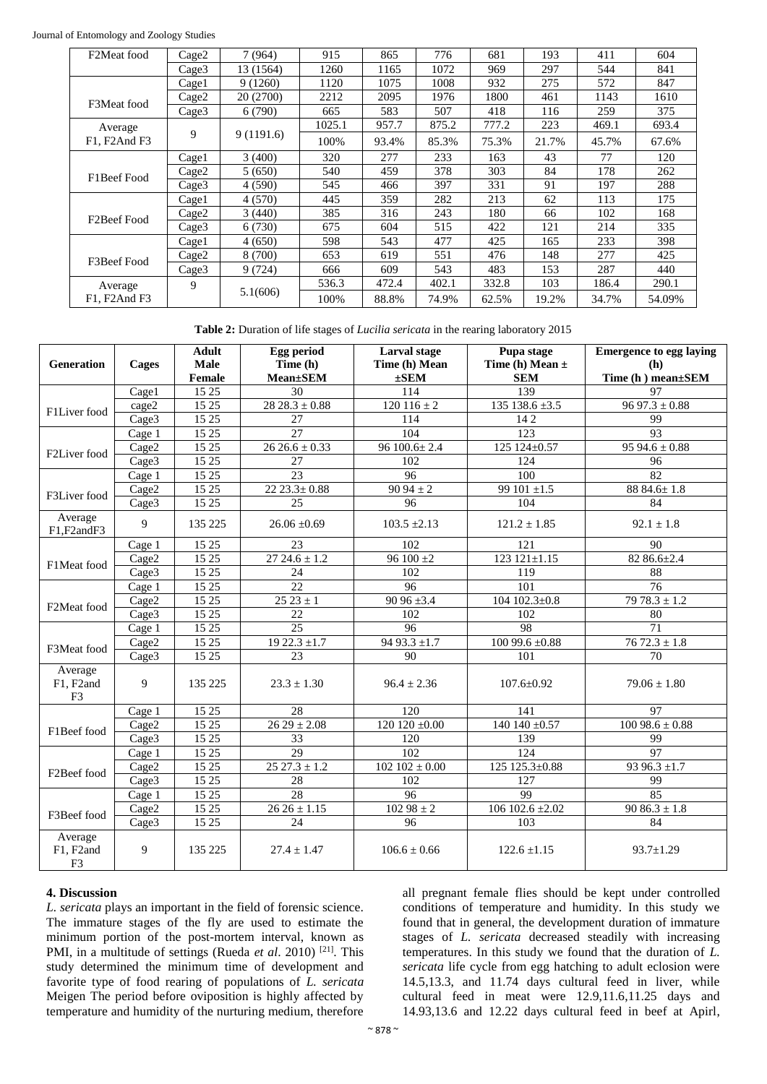| F2Meat food              | Cage2             | 7 (964)   | 915    | 865   | 776   | 681   | 193   | 411   | 604    |
|--------------------------|-------------------|-----------|--------|-------|-------|-------|-------|-------|--------|
|                          | Cage3             | 13 (1564) | 1260   | 1165  | 1072  | 969   | 297   | 544   | 841    |
|                          | Cage1             | 9(1260)   | 1120   | 1075  | 1008  | 932   | 275   | 572   | 847    |
| F3Meat food              | Cage2             | 20 (2700) | 2212   | 2095  | 1976  | 1800  | 461   | 1143  | 1610   |
|                          | Cage3             | 6(790)    | 665    | 583   | 507   | 418   | 116   | 259   | 375    |
| Average                  | 9                 | 9(1191.6) | 1025.1 | 957.7 | 875.2 | 777.2 | 223   | 469.1 | 693.4  |
| F1, F2And F3             |                   |           | 100%   | 93.4% | 85.3% | 75.3% | 21.7% | 45.7% | 67.6%  |
|                          | Cage1             | 3(400)    | 320    | 277   | 233   | 163   | 43    | 77    | 120    |
| F1Beef Food              | Cage2             | 5(650)    | 540    | 459   | 378   | 303   | 84    | 178   | 262    |
|                          | Cage3             | 4 (590)   | 545    | 466   | 397   | 331   | 91    | 197   | 288    |
| F <sub>2</sub> Beef Food | Cage1             | 4(570)    | 445    | 359   | 282   | 213   | 62    | 113   | 175    |
|                          | Cage2             | 3(440)    | 385    | 316   | 243   | 180   | 66    | 102   | 168    |
|                          | Cage <sub>3</sub> | 6 (730)   | 675    | 604   | 515   | 422   | 121   | 214   | 335    |
|                          | Cage1             | 4(650)    | 598    | 543   | 477   | 425   | 165   | 233   | 398    |
| F3Beef Food              | Cage2             | 8 (700)   | 653    | 619   | 551   | 476   | 148   | 277   | 425    |
|                          | Cage3             | 9(724)    | 666    | 609   | 543   | 483   | 153   | 287   | 440    |
| Average                  | 9                 | 5.1(606)  | 536.3  | 472.4 | 402.1 | 332.8 | 103   | 186.4 | 290.1  |
| F1, F2And F3             |                   |           | 100%   | 88.8% | 74.9% | 62.5% | 19.2% | 34.7% | 54.09% |

**Table 2:** Duration of life stages of *Lucilia sericata* in the rearing laboratory 2015

| Generation                             | Cages             | <b>Adult</b><br>Male<br>Female | Egg period<br>Time (h)<br><b>Mean</b> ±SEM | Larval stage<br>Time (h) Mean<br>$\pm$ SEM | Pupa stage<br>Time (h) Mean $\pm$<br><b>SEM</b> | <b>Emergence to egg laying</b><br>(h)<br>Time (h) mean±SEM |
|----------------------------------------|-------------------|--------------------------------|--------------------------------------------|--------------------------------------------|-------------------------------------------------|------------------------------------------------------------|
| F1Liver food                           | Cage1             | 15 25                          | 30                                         | 114                                        | 139                                             | 97                                                         |
|                                        | cage2             | 15 25                          | $28.28.3 \pm 0.88$                         | $120116 \pm 2$                             | $135$ 138.6 $\pm 3.5$                           | $9697.3 \pm 0.88$                                          |
|                                        | Cage3             | 15 25                          | 27                                         | 114                                        | 142                                             | 99                                                         |
| F2Liver food                           | Cage 1            | 15 25                          | 27                                         | 104                                        | 123                                             | 93                                                         |
|                                        | Cage2             | 15 25                          | $26.26.6 \pm 0.33$                         | $96100.6 \pm 2.4$                          | 125 124±0.57                                    | $9594.6 \pm 0.88$                                          |
|                                        | Cage3             | 15 25                          | 27                                         | 102                                        | 124                                             | 96                                                         |
| F3Liver food                           | Cage 1            | 15 25                          | 23                                         | 96                                         | 100                                             | 82                                                         |
|                                        | Cage2             | 15 25                          | $22\,23.3 \pm 0.88$                        | $9094 \pm 2$                               | 99 101 $\pm 1.5$                                | 88 84.6±1.8                                                |
|                                        | Cage3             | 15 25                          | 25                                         | 96                                         | 104                                             | 84                                                         |
| Average<br>F1.F2andF3                  | 9                 | 135 225                        | $26.06 \pm 0.69$                           | $103.5 \pm 2.13$                           | $121.2 \pm 1.85$                                | $92.1 \pm 1.8$                                             |
|                                        | Cage 1            | 15 25                          | 23                                         | 102                                        | 121                                             | 90                                                         |
| F1Meat food                            | Cage2             | 15 25                          | $2724.6 \pm 1.2$                           | 96 100 $\pm 2$                             | 123 $121 \pm 1.15$                              | 82 86.6±2.4                                                |
|                                        | Cage3             | 15 25                          | 24                                         | 102                                        | 119                                             | 88                                                         |
| F2Meat food                            | Cage 1            | 15 25                          | 22                                         | 96                                         | 101                                             | 76                                                         |
|                                        | Cage2             | 15 25                          | $25\ 23 \pm 1$                             | $9096 \pm 3.4$                             | $104102.3 \pm 0.8$                              | $7978.3 \pm 1.2$                                           |
|                                        | Cage3             | 15 25                          | 22                                         | 102                                        | 102                                             | 80                                                         |
|                                        | Cage 1            | 15 25                          | $\overline{25}$                            | 96                                         | $\overline{98}$                                 | $\overline{71}$                                            |
| F3Meat food                            | Cage2             | 15 25                          | $1922.3 \pm 1.7$                           | 94 93.3 $\pm$ 1.7                          | $10099.6 \pm 0.88$                              | $7672.3 \pm 1.8$                                           |
|                                        | Cage3             | 15 25                          | 23                                         | 90                                         | 101                                             | 70                                                         |
| Average<br>F1, F2and<br>F <sub>3</sub> | 9                 | 135 225                        | $23.3 \pm 1.30$                            | $96.4 + 2.36$                              | $107.6 + 0.92$                                  | $79.06 + 1.80$                                             |
|                                        | Cage 1            | 15 25                          | 28                                         | 120                                        | 141                                             | 97                                                         |
| F1Beef food                            | Cage2             | 15 25                          | $2629 \pm 2.08$                            | 120 120 $\pm 0.00$                         | 140 140 $\pm 0.57$                              | $10098.6 \pm 0.88$                                         |
|                                        | Cage3             | 15 25                          | 33                                         | 120                                        | 139                                             | 99                                                         |
| F <sub>2</sub> Beef food               | Cage 1            | 15 25                          | 29                                         | 102                                        | 124                                             | 97                                                         |
|                                        | Cage2             | 15 25                          | $2527.3 \pm 1.2$                           | $102102 \pm 0.00$                          | 125 125.3±0.88                                  | 93 96.3 $\pm$ 1.7                                          |
|                                        | Cage3             | 15 25                          | 28                                         | 102                                        | 127                                             | 99                                                         |
| F3Beef food                            | Cage 1            | 15 25                          | 28                                         | 96                                         | 99                                              | 85                                                         |
|                                        | Cage2             | 15 25                          | $2626 \pm 1.15$                            | $102.98 \pm 2$                             | 106 102.6 $\pm 2.02$                            | $9086.3 \pm 1.8$                                           |
|                                        | Cage <sub>3</sub> | 15 25                          | 24                                         | 96                                         | 103                                             | 84                                                         |
| Average<br>F1, F2and<br>F <sub>3</sub> | 9                 | 135 225                        | $27.4 \pm 1.47$                            | $106.6 \pm 0.66$                           | $122.6 \pm 1.15$                                | $93.7 \pm 1.29$                                            |

# **4. Discussion**

*L. sericata* plays an important in the field of forensic science. The immature stages of the fly are used to estimate the minimum portion of the post-mortem interval, known as PMI, in a multitude of settings (Rueda *et al.* 2010)<sup>[21]</sup>. This study determined the minimum time of development and favorite type of food rearing of populations of *L. sericata*  Meigen The period before oviposition is highly affected by temperature and humidity of the nurturing medium, therefore

all pregnant female flies should be kept under controlled conditions of temperature and humidity. In this study we found that in general, the development duration of immature stages of *L. sericata* decreased steadily with increasing temperatures. In this study we found that the duration of *L. sericata* life cycle from egg hatching to adult eclosion were 14.5,13.3, and 11.74 days cultural feed in liver, while cultural feed in meat were 12.9,11.6,11.25 days and 14.93,13.6 and 12.22 days cultural feed in beef at Apirl,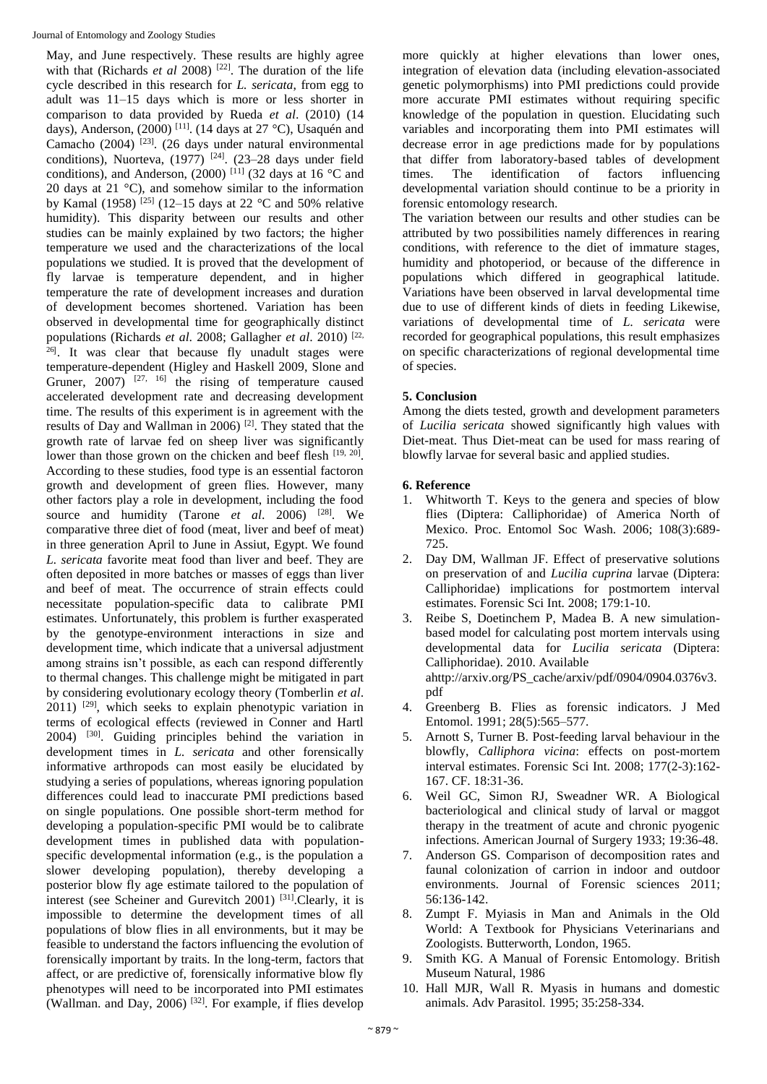May, and June respectively. These results are highly agree with that (Richards *et al* 2008)<sup>[22]</sup>. The duration of the life cycle described in this research for *L. sericata*, from egg to adult was 11–15 days which is more or less shorter in comparison to data provided by Rueda *et al*. (2010) (14 days), Anderson, (2000)<sup>[11]</sup>. (14 days at 27 °C), Usaquén and Camacho  $(2004)$ <sup>[23]</sup>.  $(26 \text{ days under natural environmental})$ conditions), Nuorteva,  $(1977)$ <sup>[24]</sup>.  $(23-28)$  days under field conditions), and Anderson, (2000) <sup>[11]</sup> (32 days at 16 °C and 20 days at 21 °C), and somehow similar to the information by Kamal (1958) [25] (12–15 days at 22 °C and 50% relative humidity). This disparity between our results and other studies can be mainly explained by two factors; the higher temperature we used and the characterizations of the local populations we studied. It is proved that the development of fly larvae is temperature dependent, and in higher temperature the rate of development increases and duration of development becomes shortened. Variation has been observed in developmental time for geographically distinct populations (Richards *et al*. 2008; Gallagher *et al*. 2010) [22, 26] . It was clear that because fly unadult stages were temperature-dependent (Higley and Haskell 2009, Slone and Gruner,  $2007$ ) <sup>[27, 16]</sup> the rising of temperature caused accelerated development rate and decreasing development time. The results of this experiment is in agreement with the results of Day and Wallman in 2006)<sup>[2]</sup>. They stated that the growth rate of larvae fed on sheep liver was significantly lower than those grown on the chicken and beef flesh [19, 20]. According to these studies, food type is an essential factoron growth and development of green flies. However, many other factors play a role in development, including the food source and humidity (Tarone *et al.* 2006)<sup>[28]</sup>. We comparative three diet of food (meat, liver and beef of meat) in three generation April to June in Assiut, Egypt. We found *L. sericata* favorite meat food than liver and beef. They are often deposited in more batches or masses of eggs than liver and beef of meat. The occurrence of strain effects could necessitate population-specific data to calibrate PMI estimates. Unfortunately, this problem is further exasperated by the genotype-environment interactions in size and development time, which indicate that a universal adjustment among strains isn't possible, as each can respond differently to thermal changes. This challenge might be mitigated in part by considering evolutionary ecology theory (Tomberlin *et al*.  $2011$ ) <sup>[29]</sup>, which seeks to explain phenotypic variation in terms of ecological effects (reviewed in Conner and Hartl 2004) [30] . Guiding principles behind the variation in development times in *L. sericata* and other forensically informative arthropods can most easily be elucidated by studying a series of populations, whereas ignoring population differences could lead to inaccurate PMI predictions based on single populations. One possible short-term method for developing a population-specific PMI would be to calibrate development times in published data with populationspecific developmental information (e.g., is the population a slower developing population), thereby developing a posterior blow fly age estimate tailored to the population of interest (see Scheiner and Gurevitch 2001)<sup>[31]</sup>. Clearly, it is impossible to determine the development times of all populations of blow flies in all environments, but it may be feasible to understand the factors influencing the evolution of forensically important by traits. In the long-term, factors that affect, or are predictive of, forensically informative blow fly phenotypes will need to be incorporated into PMI estimates (Wallman. and Day, 2006) [32]. For example, if flies develop

more quickly at higher elevations than lower ones, integration of elevation data (including elevation-associated genetic polymorphisms) into PMI predictions could provide more accurate PMI estimates without requiring specific knowledge of the population in question. Elucidating such variables and incorporating them into PMI estimates will decrease error in age predictions made for by populations that differ from laboratory-based tables of development times. The identification of factors influencing developmental variation should continue to be a priority in forensic entomology research.

The variation between our results and other studies can be attributed by two possibilities namely differences in rearing conditions, with reference to the diet of immature stages, humidity and photoperiod, or because of the difference in populations which differed in geographical latitude. Variations have been observed in larval developmental time due to use of different kinds of diets in feeding Likewise, variations of developmental time of *L. sericata* were recorded for geographical populations, this result emphasizes on specific characterizations of regional developmental time of species.

# **5. Conclusion**

Among the diets tested, growth and development parameters of *Lucilia sericata* showed significantly high values with Diet-meat. Thus Diet-meat can be used for mass rearing of blowfly larvae for several basic and applied studies.

# **6. Reference**

- 1. Whitworth T. Keys to the genera and species of blow flies (Diptera: Calliphoridae) of America North of Mexico. Proc. Entomol Soc Wash. 2006; 108(3):689- 725.
- 2. Day DM, Wallman JF. Effect of preservative solutions on preservation of and *Lucilia cuprina* larvae (Diptera: Calliphoridae) implications for postmortem interval estimates. Forensic Sci Int. 2008; 179:1-10.
- 3. Reibe S, Doetinchem P, Madea B. A new simulationbased model for calculating post mortem intervals using developmental data for *Lucilia sericata* (Diptera: Calliphoridae). 2010. Available ahttp://arxiv.org/PS\_cache/arxiv/pdf/0904/0904.0376v3. pdf
- 4. Greenberg B. Flies as forensic indicators. J Med Entomol. 1991; 28(5):565–577.
- 5. Arnott S, Turner B. Post-feeding larval behaviour in the blowfly, *Calliphora vicina*: effects on post-mortem interval estimates. Forensic Sci Int. 2008; 177(2-3):162- 167. CF. 18:31-36.
- 6. Weil GC, Simon RJ, Sweadner WR. A Biological bacteriological and clinical study of larval or maggot therapy in the treatment of acute and chronic pyogenic infections. American Journal of Surgery 1933; 19:36-48.
- 7. Anderson GS. Comparison of decomposition rates and faunal colonization of carrion in indoor and outdoor environments. Journal of Forensic sciences 2011; 56:136-142.
- 8. Zumpt F. Myiasis in Man and Animals in the Old World: A Textbook for Physicians Veterinarians and Zoologists. Butterworth, London, 1965.
- 9. Smith KG. A Manual of Forensic Entomology. British Museum Natural, 1986
- 10. Hall MJR, Wall R. Myasis in humans and domestic animals. Adv Parasitol. 1995; 35:258-334.